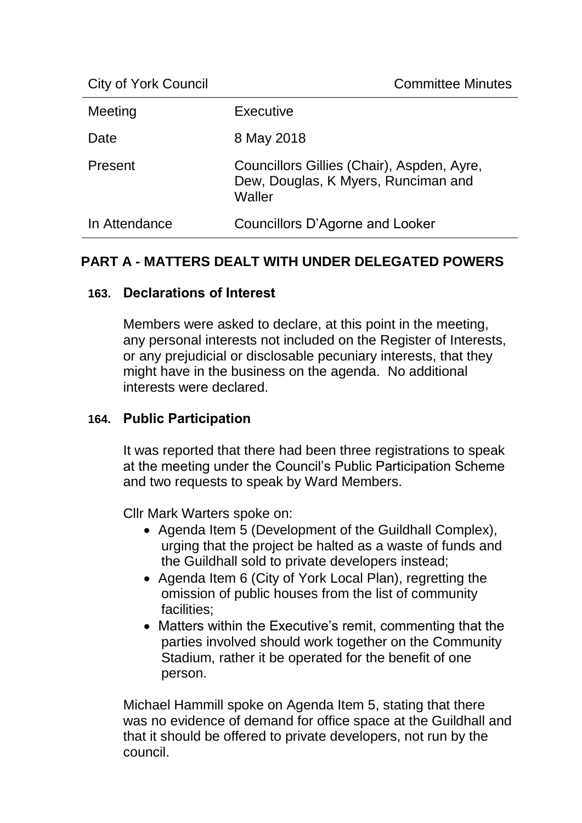| <b>City of York Council</b> | <b>Committee Minutes</b>                                                                    |
|-----------------------------|---------------------------------------------------------------------------------------------|
| Meeting                     | Executive                                                                                   |
| Date                        | 8 May 2018                                                                                  |
| Present                     | Councillors Gillies (Chair), Aspden, Ayre,<br>Dew, Douglas, K Myers, Runciman and<br>Waller |
| In Attendance               | Councillors D'Agorne and Looker                                                             |

# **PART A - MATTERS DEALT WITH UNDER DELEGATED POWERS**

## **163. Declarations of Interest**

Members were asked to declare, at this point in the meeting, any personal interests not included on the Register of Interests, or any prejudicial or disclosable pecuniary interests, that they might have in the business on the agenda. No additional interests were declared.

## **164. Public Participation**

It was reported that there had been three registrations to speak at the meeting under the Council's Public Participation Scheme and two requests to speak by Ward Members.

Cllr Mark Warters spoke on:

- Agenda Item 5 (Development of the Guildhall Complex), urging that the project be halted as a waste of funds and the Guildhall sold to private developers instead;
- Agenda Item 6 (City of York Local Plan), regretting the omission of public houses from the list of community facilities;
- Matters within the Executive's remit, commenting that the parties involved should work together on the Community Stadium, rather it be operated for the benefit of one person.

Michael Hammill spoke on Agenda Item 5, stating that there was no evidence of demand for office space at the Guildhall and that it should be offered to private developers, not run by the council.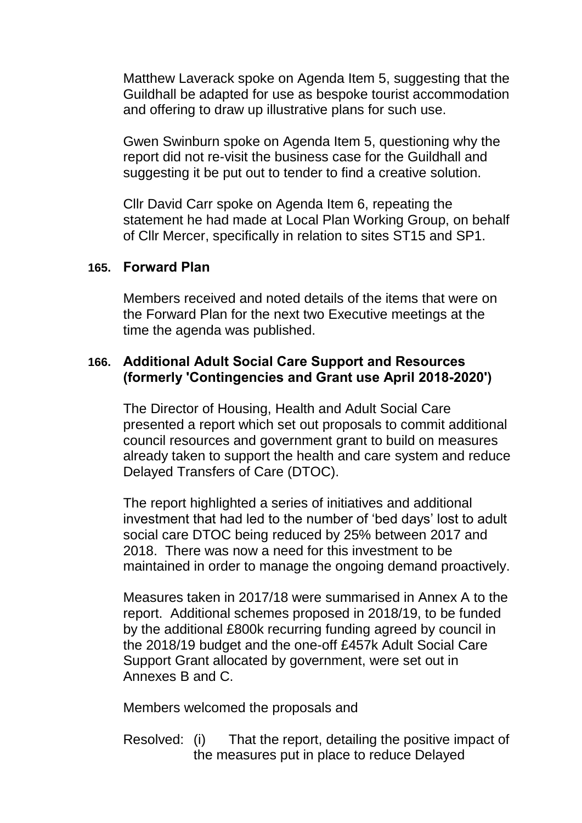Matthew Laverack spoke on Agenda Item 5, suggesting that the Guildhall be adapted for use as bespoke tourist accommodation and offering to draw up illustrative plans for such use.

Gwen Swinburn spoke on Agenda Item 5, questioning why the report did not re-visit the business case for the Guildhall and suggesting it be put out to tender to find a creative solution.

Cllr David Carr spoke on Agenda Item 6, repeating the statement he had made at Local Plan Working Group, on behalf of Cllr Mercer, specifically in relation to sites ST15 and SP1.

#### **165. Forward Plan**

Members received and noted details of the items that were on the Forward Plan for the next two Executive meetings at the time the agenda was published.

## **166. Additional Adult Social Care Support and Resources (formerly 'Contingencies and Grant use April 2018-2020')**

The Director of Housing, Health and Adult Social Care presented a report which set out proposals to commit additional council resources and government grant to build on measures already taken to support the health and care system and reduce Delayed Transfers of Care (DTOC).

The report highlighted a series of initiatives and additional investment that had led to the number of 'bed days' lost to adult social care DTOC being reduced by 25% between 2017 and 2018. There was now a need for this investment to be maintained in order to manage the ongoing demand proactively.

Measures taken in 2017/18 were summarised in Annex A to the report. Additional schemes proposed in 2018/19, to be funded by the additional £800k recurring funding agreed by council in the 2018/19 budget and the one-off £457k Adult Social Care Support Grant allocated by government, were set out in Annexes B and C.

Members welcomed the proposals and

Resolved: (i) That the report, detailing the positive impact of the measures put in place to reduce Delayed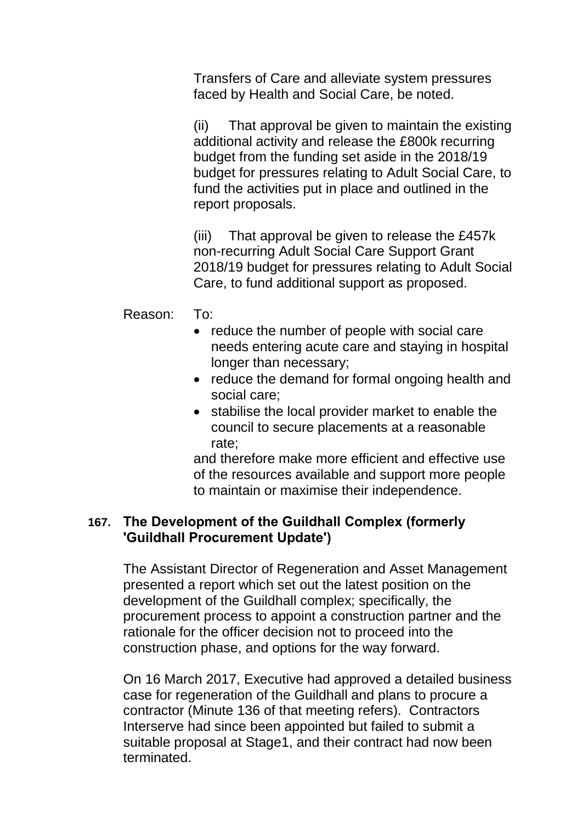Transfers of Care and alleviate system pressures faced by Health and Social Care, be noted.

(ii) That approval be given to maintain the existing additional activity and release the £800k recurring budget from the funding set aside in the 2018/19 budget for pressures relating to Adult Social Care, to fund the activities put in place and outlined in the report proposals.

(iii) That approval be given to release the £457k non-recurring Adult Social Care Support Grant 2018/19 budget for pressures relating to Adult Social Care, to fund additional support as proposed.

Reason: To:

- reduce the number of people with social care needs entering acute care and staying in hospital longer than necessary;
- reduce the demand for formal ongoing health and social care;
- stabilise the local provider market to enable the council to secure placements at a reasonable rate;

and therefore make more efficient and effective use of the resources available and support more people to maintain or maximise their independence.

## **167. The Development of the Guildhall Complex (formerly 'Guildhall Procurement Update')**

The Assistant Director of Regeneration and Asset Management presented a report which set out the latest position on the development of the Guildhall complex; specifically, the procurement process to appoint a construction partner and the rationale for the officer decision not to proceed into the construction phase, and options for the way forward.

On 16 March 2017, Executive had approved a detailed business case for regeneration of the Guildhall and plans to procure a contractor (Minute 136 of that meeting refers). Contractors Interserve had since been appointed but failed to submit a suitable proposal at Stage1, and their contract had now been terminated.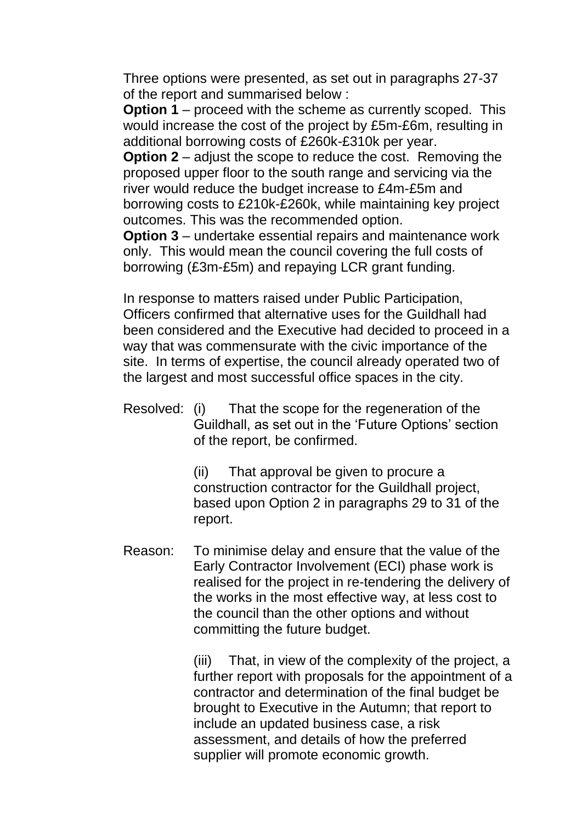Three options were presented, as set out in paragraphs 27-37 of the report and summarised below :

**Option 1** – proceed with the scheme as currently scoped. This would increase the cost of the project by £5m-£6m, resulting in additional borrowing costs of £260k-£310k per year.

**Option 2** – adjust the scope to reduce the cost. Removing the proposed upper floor to the south range and servicing via the river would reduce the budget increase to £4m-£5m and borrowing costs to £210k-£260k, while maintaining key project outcomes. This was the recommended option.

**Option 3** – undertake essential repairs and maintenance work only. This would mean the council covering the full costs of borrowing (£3m-£5m) and repaying LCR grant funding.

In response to matters raised under Public Participation, Officers confirmed that alternative uses for the Guildhall had been considered and the Executive had decided to proceed in a way that was commensurate with the civic importance of the site. In terms of expertise, the council already operated two of the largest and most successful office spaces in the city.

Resolved: (i) That the scope for the regeneration of the Guildhall, as set out in the 'Future Options' section of the report, be confirmed.

> (ii) That approval be given to procure a construction contractor for the Guildhall project, based upon Option 2 in paragraphs 29 to 31 of the report.

Reason: To minimise delay and ensure that the value of the Early Contractor Involvement (ECI) phase work is realised for the project in re-tendering the delivery of the works in the most effective way, at less cost to the council than the other options and without committing the future budget.

> (iii) That, in view of the complexity of the project, a further report with proposals for the appointment of a contractor and determination of the final budget be brought to Executive in the Autumn; that report to include an updated business case, a risk assessment, and details of how the preferred supplier will promote economic growth.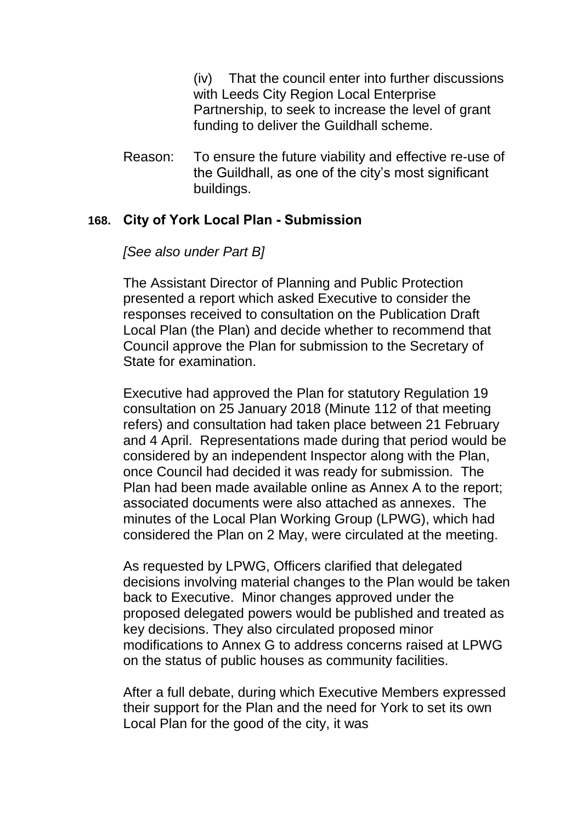(iv) That the council enter into further discussions with Leeds City Region Local Enterprise Partnership, to seek to increase the level of grant funding to deliver the Guildhall scheme.

Reason: To ensure the future viability and effective re-use of the Guildhall, as one of the city's most significant buildings.

#### **168. City of York Local Plan - Submission**

#### *[See also under Part B]*

The Assistant Director of Planning and Public Protection presented a report which asked Executive to consider the responses received to consultation on the Publication Draft Local Plan (the Plan) and decide whether to recommend that Council approve the Plan for submission to the Secretary of State for examination.

Executive had approved the Plan for statutory Regulation 19 consultation on 25 January 2018 (Minute 112 of that meeting refers) and consultation had taken place between 21 February and 4 April. Representations made during that period would be considered by an independent Inspector along with the Plan, once Council had decided it was ready for submission. The Plan had been made available online as Annex A to the report; associated documents were also attached as annexes. The minutes of the Local Plan Working Group (LPWG), which had considered the Plan on 2 May, were circulated at the meeting.

As requested by LPWG, Officers clarified that delegated decisions involving material changes to the Plan would be taken back to Executive. Minor changes approved under the proposed delegated powers would be published and treated as key decisions. They also circulated proposed minor modifications to Annex G to address concerns raised at LPWG on the status of public houses as community facilities.

After a full debate, during which Executive Members expressed their support for the Plan and the need for York to set its own Local Plan for the good of the city, it was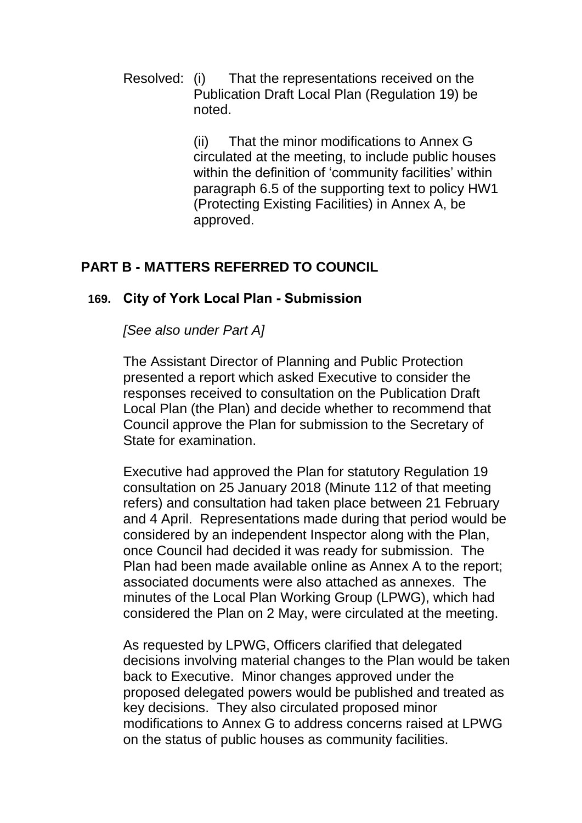Resolved: (i) That the representations received on the Publication Draft Local Plan (Regulation 19) be noted.

> (ii) That the minor modifications to Annex G circulated at the meeting, to include public houses within the definition of 'community facilities' within paragraph 6.5 of the supporting text to policy HW1 (Protecting Existing Facilities) in Annex A, be approved.

# **PART B - MATTERS REFERRED TO COUNCIL**

#### **169. City of York Local Plan - Submission**

*[See also under Part A]*

The Assistant Director of Planning and Public Protection presented a report which asked Executive to consider the responses received to consultation on the Publication Draft Local Plan (the Plan) and decide whether to recommend that Council approve the Plan for submission to the Secretary of State for examination.

Executive had approved the Plan for statutory Regulation 19 consultation on 25 January 2018 (Minute 112 of that meeting refers) and consultation had taken place between 21 February and 4 April. Representations made during that period would be considered by an independent Inspector along with the Plan, once Council had decided it was ready for submission. The Plan had been made available online as Annex A to the report; associated documents were also attached as annexes. The minutes of the Local Plan Working Group (LPWG), which had considered the Plan on 2 May, were circulated at the meeting.

As requested by LPWG, Officers clarified that delegated decisions involving material changes to the Plan would be taken back to Executive. Minor changes approved under the proposed delegated powers would be published and treated as key decisions. They also circulated proposed minor modifications to Annex G to address concerns raised at LPWG on the status of public houses as community facilities.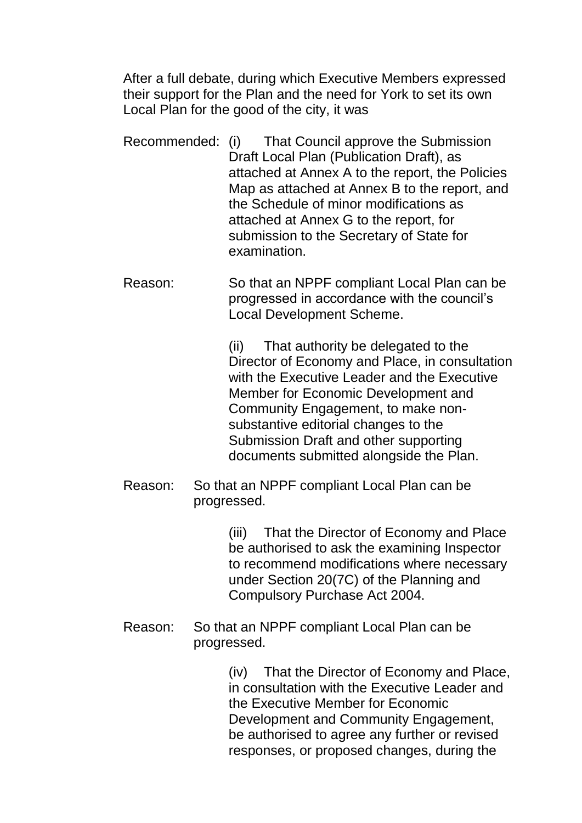After a full debate, during which Executive Members expressed their support for the Plan and the need for York to set its own Local Plan for the good of the city, it was

- Recommended: (i) That Council approve the Submission Draft Local Plan (Publication Draft), as attached at Annex A to the report, the Policies Map as attached at Annex B to the report, and the Schedule of minor modifications as attached at Annex G to the report, for submission to the Secretary of State for examination.
- Reason: So that an NPPF compliant Local Plan can be progressed in accordance with the council's Local Development Scheme.

(ii) That authority be delegated to the Director of Economy and Place, in consultation with the Executive Leader and the Executive Member for Economic Development and Community Engagement, to make nonsubstantive editorial changes to the Submission Draft and other supporting documents submitted alongside the Plan.

Reason: So that an NPPF compliant Local Plan can be progressed.

> (iii) That the Director of Economy and Place be authorised to ask the examining Inspector to recommend modifications where necessary under Section 20(7C) of the Planning and Compulsory Purchase Act 2004.

Reason: So that an NPPF compliant Local Plan can be progressed.

> (iv) That the Director of Economy and Place, in consultation with the Executive Leader and the Executive Member for Economic Development and Community Engagement, be authorised to agree any further or revised responses, or proposed changes, during the